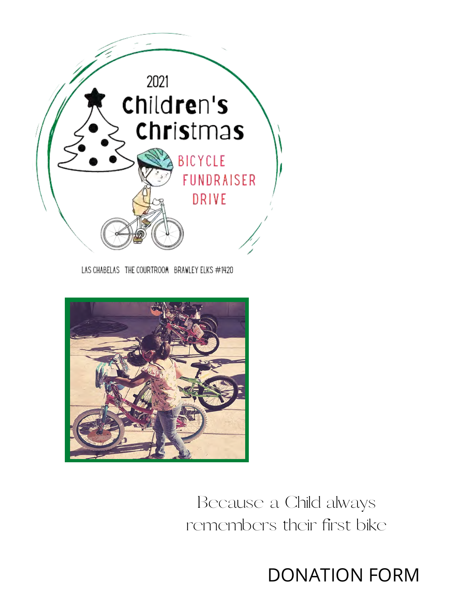

LAS CHABELAS THE COURTROOM BRAWLEY ELKS #1420



Because a Child always remembers their first bike

DONATION FORM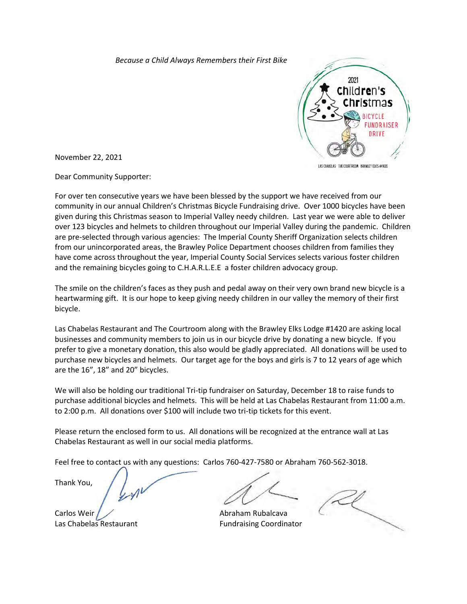*Because a Child Always Remembers their First Bike*



LAS CHABELAS THE COURTROON BRAWLEY ELKS #1920

November 22, 2021

Dear Community Supporter:

For over ten consecutive years we have been blessed by the support we have received from our community in our annual Children's Christmas Bicycle Fundraising drive. Over 1000 bicycles have been given during this Christmas season to Imperial Valley needy children. Last year we were able to deliver over 123 bicycles and helmets to children throughout our Imperial Valley during the pandemic. Children are pre-selected through various agencies: The Imperial County Sheriff Organization selects children from our unincorporated areas, the Brawley Police Department chooses children from families they have come across throughout the year, Imperial County Social Services selects various foster children and the remaining bicycles going to C.H.A.R.L.E.E a foster children advocacy group.

The smile on the children's faces as they push and pedal away on their very own brand new bicycle is a heartwarming gift. It is our hope to keep giving needy children in our valley the memory of their first bicycle.

Las Chabelas Restaurant and The Courtroom along with the Brawley Elks Lodge #1420 are asking local businesses and community members to join us in our bicycle drive by donating a new bicycle. If you prefer to give a monetary donation, this also would be gladly appreciated. All donations will be used to purchase new bicycles and helmets. Our target age for the boys and girls is 7 to 12 years of age which are the 16", 18" and 20" bicycles.

We will also be holding our traditional Tri-tip fundraiser on Saturday, December 18 to raise funds to purchase additional bicycles and helmets. This will be held at Las Chabelas Restaurant from 11:00 a.m. to 2:00 p.m. All donations over \$100 will include two tri-tip tickets for this event.

Please return the enclosed form to us. All donations will be recognized at the entrance wall at Las Chabelas Restaurant as well in our social media platforms.

Feel free to contact us with any questions: Carlos 760-427-7580 or Abraham 760-562-3018.

Thank You,

Carlos Weir  $\overline{A}$  Abraham Rubalcava Las Chabelas Restaurant **Fundraising Coordinator**